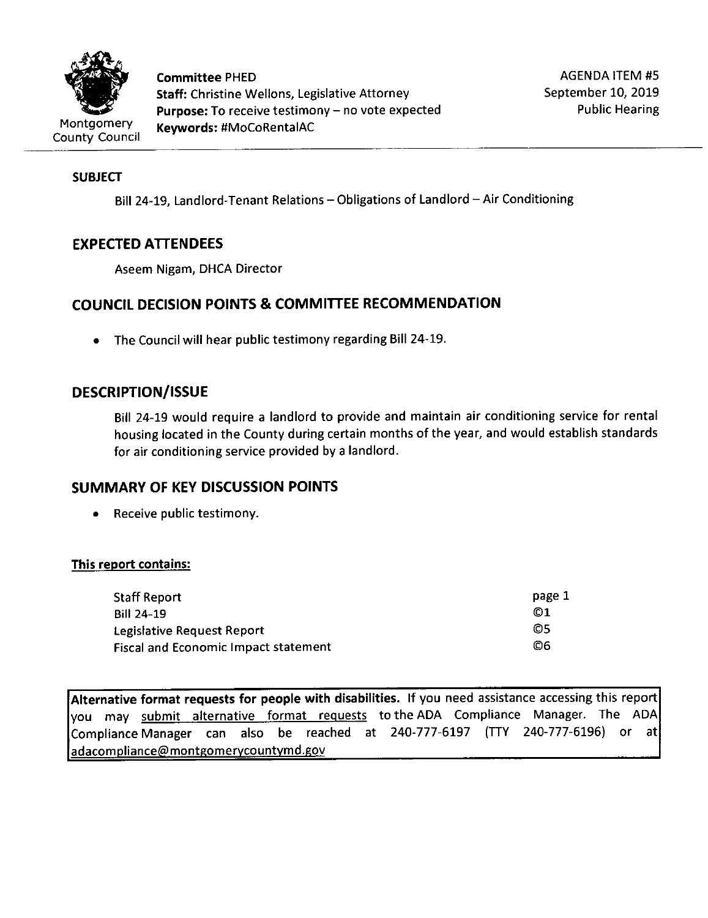

**Committee** PHED **Staff:** Christine Wellons, Legislative Attorney **Purpose:** To receive testimony- no vote expected **Keywords:** #MoCoRentalAC

## **SUBJECT**

Bill 24-19, Landlord-Tenant Relations - Obligations of Landlord - Air Conditioning

# **EXPECTED ATTENDEES**

Aseem Nigam, DHCA Director

# **COUNCIL DECISION POINTS & COMMITTEE RECOMMENDATION**

• The Council will hear public testimony regarding Bill 24-19.

# **DESCRIPTION/ISSUE**

Bill 24-19 would require a landlord to provide and maintain air conditioning service for rental housing located in the County during certain months of the year, and would establish standards for air conditioning service provided by a landlord.

# **SUMMARY OF KEV DISCUSSION POINTS**

• Receive public testimony.

## **This report contains:**

| <b>Staff Report</b>                         | page 1 |
|---------------------------------------------|--------|
| <b>Bill 24-19</b>                           | 01     |
| Legislative Request Report                  | O5     |
| <b>Fiscal and Economic Impact statement</b> | 06     |

**Alternative format requests for people with disabilities.** If you need assistance accessing this report you may submit alternative format requests to the ADA Compliance Manager. The ADA Compliance Manager can also be reached at 240-777-6197 (TTY 240-777-6196) or at adacompliance@montgomerycountymd.gov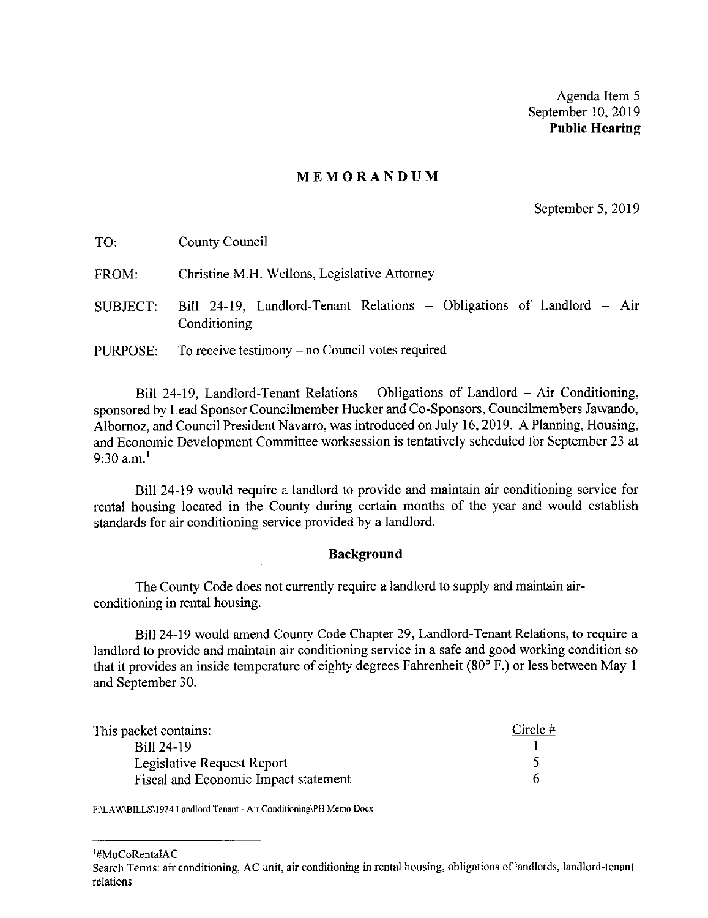Agenda Item 5 September 10, 2019 **Public Hearing** 

#### **MEMORANDUM**

September 5, 2019

| TO:      | County Council                                                                        |
|----------|---------------------------------------------------------------------------------------|
| FROM:    | Christine M.H. Wellons, Legislative Attorney                                          |
| SUBJECT: | Bill 24-19, Landlord-Tenant Relations - Obligations of Landlord - Air<br>Conditioning |
| PURPOSE: | To receive testimony $-$ no Council votes required                                    |

Bill 24-19, Landlord-Tenant Relations - Obligations of Landlord - Air Conditioning, sponsored by Lead Sponsor Councilmember Hucker and Co-Sponsors, Councilmembers Jawando, Albornoz, and Council President Navarro, was introduced on July 16, 2019. A Planning, Housing, and Economic Development Committee worksession is tentatively scheduled for September 23 at 9:30  $a.m.<sup>1</sup>$ 

Bill 24-19 would require a landlord to provide and maintain air conditioning service for rental housing located in the County during certain months of the year and would establish standards for air conditioning service provided by a landlord.

#### **Background**

The County Code does not currently require a landlord to supply and maintain airconditioning in rental housing.

Bill 24-19 would amend County Code Chapter 29, Landlord-Tenant Relations, to require a landlord to provide and maintain air conditioning service in a safe and good working condition so that it provides an inside temperature of eighty degrees Fahrenheit (80° F.) or less between May 1 and September 30.

| This packet contains:                | Circle $#$ |
|--------------------------------------|------------|
| Bill 24-19                           |            |
| Legislative Request Report           |            |
| Fiscal and Economic Impact statement |            |

**F:\LAW\BILLS\1924 Landlord Tenant - Air Conditioning\PH Memo.Docx** 

1 #MoCoRentalAC

Search Terms: air conditioning, AC unit, air conditioning in rental housing, obligations of landlords, landlord-tenant relations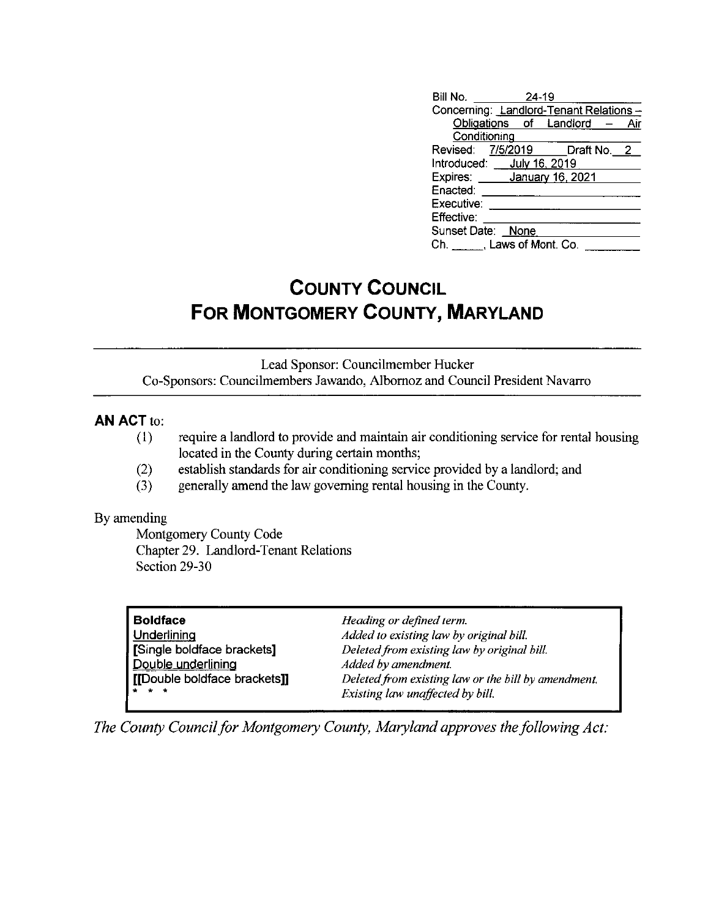| Bill No.                               | $24 - 19$ |                               |  |
|----------------------------------------|-----------|-------------------------------|--|
| Concerning: Landlord-Tenant Relations- |           |                               |  |
|                                        |           | Obligations of Landlord - Air |  |
| Conditioning                           |           |                               |  |
| Revised: 7/5/2019 Draft No. 2          |           |                               |  |
| Introduced: __ July 16, 2019           |           |                               |  |
| Expires: January 16, 2021              |           |                               |  |
| Enacted:                               |           |                               |  |
| Executive:                             |           |                               |  |
| Effective:                             |           |                               |  |
| Sunset Date: None                      |           |                               |  |
| Ch. Laws of Mont. Co.                  |           |                               |  |

# **COUNTY COUNCIL FOR MONTGOMERY COUNTY, MARYLAND**

Lead Sponsor: Councilmember Hucker Co-Sponsors: Councilmembers Jawando, Albornoz and Council President Navarro

## **AN ACT** to:

- (1) require a landlord to provide and maintain air conditioning service for rental housing located in the County during certain months;
- (2) establish standards for air conditioning service provided by a landlord; and
- (3) generally amend the law governing rental housing in the County.

## By amending

Montgomery County Code Chapter 29. Landlord-Tenant Relations Section 29-30

| <b>Boldface</b>              | Heading or defined term.                            |
|------------------------------|-----------------------------------------------------|
| Underlining                  | Added to existing law by original bill.             |
| Single boldface brackets]    | Deleted from existing law by original bill.         |
| Double underlining           | Added by amendment.                                 |
| [[Double boldface brackets]] | Deleted from existing law or the bill by amendment. |
| <b>xxx</b>                   | Existing law unaffected by bill.                    |

*The County Council for Montgomery County, Maryland approves the following Act:*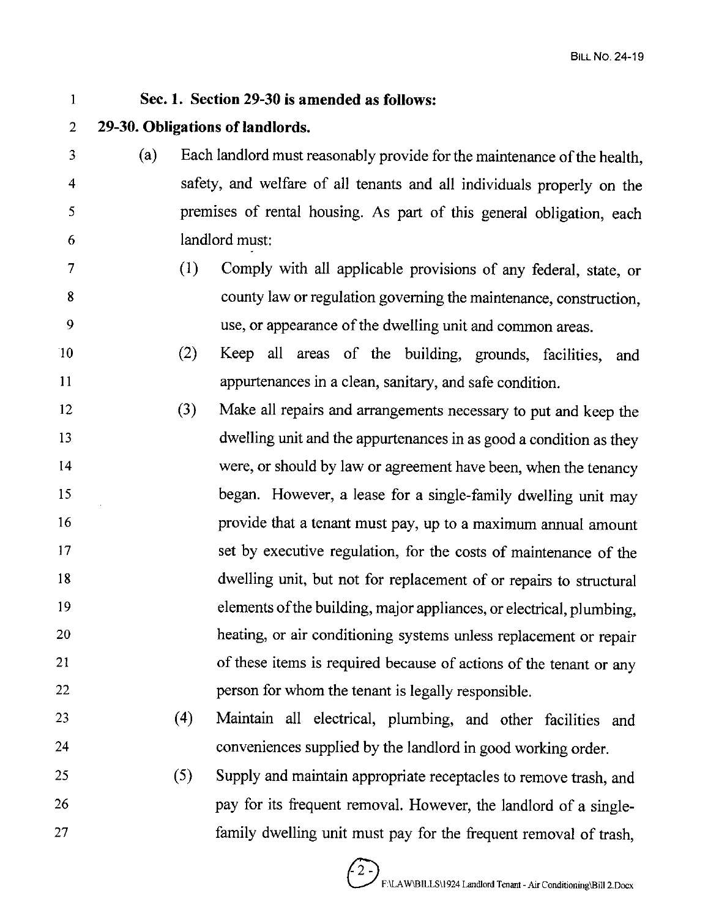## I **Sec. 1. Section 29-30 is amended as follows:**  2 **29-30. Obligations of landlords.**  3 ( a) Each landlord must reasonably provide for the maintenance of the health, 4 safety, and welfare of all tenants and all individuals properly on the 5 premises of rental housing. As part of this general obligation, each 6 landlord must: 7 8 9 10 11 12 13 14 15 16 17 18 19 20 21 22 23 24 25 26 27 (1) Comply with all applicable provisions of any federal, state, or county law or regulation governing the maintenance, construction, use, or appearance of the dwelling unit and common areas. (2) Keep all areas of the building, grounds, facilities, and appurtenances in a clean, sanitary, and safe condition. (3) Make all repairs and arrangements necessary to put and keep the dwelling unit and the appurtenances in as good a condition as they were, or should by law or agreement have been, when the tenancy began. However, a lease for a single-family dwelling unit may provide that a tenant must pay, up to a maximum annual amount set by executive regulation, for the costs of maintenance of the dwelling unit, but not for replacement of or repairs to structural elements of the building, major appliances, or electrical, plumbing, heating, or air conditioning systems unless replacement or repair of these items is required because of actions of the tenant or any person for whom the tenant is legally responsible. ( 4) Maintain all electrical, plumbing, and other facilities and conveniences supplied by the landlord in good working order. (5) Supply and maintain appropriate receptacles to remove trash, and pay for its frequent removal. However, the landlord of a singlefamily dwelling unit must pay for the frequent removal of trash,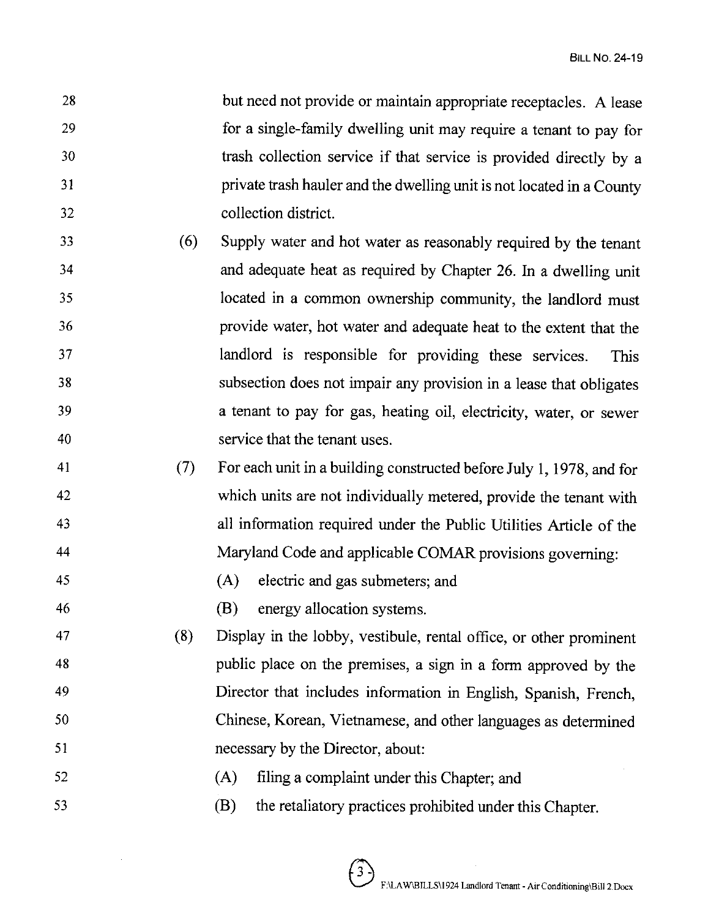28 29 30 31 32 but need not provide or maintain appropriate receptacles. A lease for a single-family dwelling unit may require a tenant to pay for trash collection service if that service is provided directly by a private trash hauler and the dwelling unit is not located in a County collection district.

- 33 34 35 36 37 38 39 40 (6) Supply water and hot water as reasonably required by the tenant and adequate heat as required by Chapter 26. In a dwelling unit located in a common ownership community, the landlord must provide water, hot water and adequate heat to the extent that the landlord is responsible for providing these services. This subsection does not impair any provision in a lease that obligates a tenant to pay for gas, heating oil, electricity, water, or sewer service that the tenant uses.
- 41 42 43 44 (7) For each unit in a building constructed before July 1, 1978, and for which units are not individually metered, provide the tenant with all information required under the Public Utilities Article of the Maryland Code and applicable COMAR provisions governing:
- 45 (A) electric and gas submeters; and

46 (B) energy allocation systems.

- 47 48 49 50 51 (8) Display in the lobby, vestibule, rental office, or other prominent public place on the premises, a sign in a form approved by the Director that includes information in English, Spanish, French, Chinese, Korean, Vietnamese, and other languages as determined necessary by the Director, about:
- 52 (A) filing a complaint under this Chapter; and
- 53 (B) the retaliatory practices prohibited under this Chapter.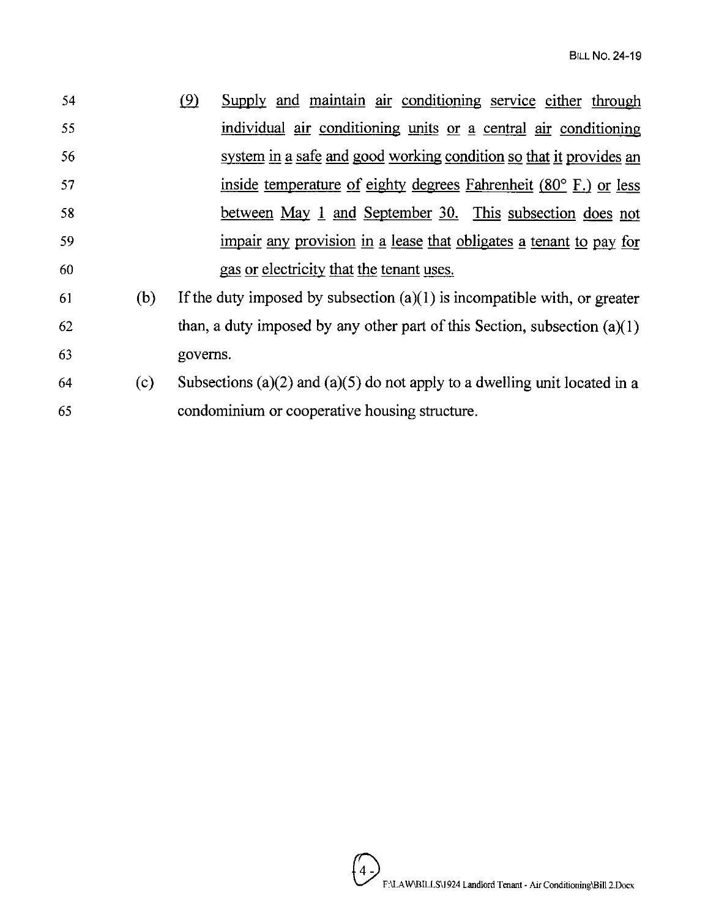| 54 |     | (9)      | Supply and maintain air conditioning service either through                 |  |  |  |  |
|----|-----|----------|-----------------------------------------------------------------------------|--|--|--|--|
| 55 |     |          | individual air conditioning units or a central air conditioning             |  |  |  |  |
| 56 |     |          | system in a safe and good working condition so that it provides an          |  |  |  |  |
| 57 |     |          | inside temperature of eighty degrees Fahrenheit (80° F.) or less            |  |  |  |  |
| 58 |     |          | between May 1 and September 30. This subsection does not                    |  |  |  |  |
| 59 |     |          | impair any provision in a lease that obligates a tenant to pay for          |  |  |  |  |
| 60 |     |          | gas or electricity that the tenant uses.                                    |  |  |  |  |
| 61 | (b) |          | If the duty imposed by subsection $(a)(1)$ is incompatible with, or greater |  |  |  |  |
| 62 |     |          | than, a duty imposed by any other part of this Section, subsection $(a)(1)$ |  |  |  |  |
| 63 |     | governs. |                                                                             |  |  |  |  |

64 (c) Subsections (a)(2) and (a)(5) do not apply to a dwelling unit located in a 65 condominium or cooperative housing structure.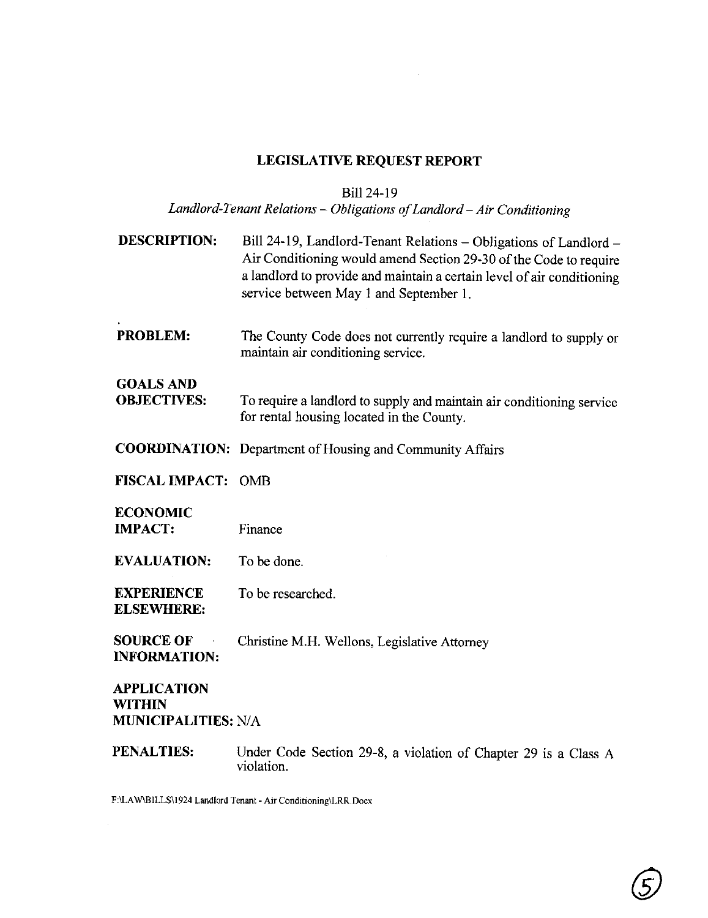# **LEGISLATIVE REQUEST REPORT**

# Bill 24-19

# *Landlord-Tenant Relations* - *Obligations of Landlord-Air Conditioning*

| <b>DESCRIPTION:</b>                                        | Bill 24-19, Landlord-Tenant Relations - Obligations of Landlord -<br>Air Conditioning would amend Section 29-30 of the Code to require<br>a landlord to provide and maintain a certain level of air conditioning<br>service between May 1 and September 1. |
|------------------------------------------------------------|------------------------------------------------------------------------------------------------------------------------------------------------------------------------------------------------------------------------------------------------------------|
| <b>PROBLEM:</b>                                            | The County Code does not currently require a landlord to supply or<br>maintain air conditioning service.                                                                                                                                                   |
| <b>GOALS AND</b><br><b>OBJECTIVES:</b>                     | To require a landlord to supply and maintain air conditioning service<br>for rental housing located in the County.                                                                                                                                         |
|                                                            | <b>COORDINATION:</b> Department of Housing and Community Affairs                                                                                                                                                                                           |
| <b>FISCAL IMPACT:</b>                                      | <b>OMB</b>                                                                                                                                                                                                                                                 |
| <b>ECONOMIC</b><br><b>IMPACT:</b>                          | Finance                                                                                                                                                                                                                                                    |
| <b>EVALUATION:</b>                                         | To be done.                                                                                                                                                                                                                                                |
| <b>EXPERIENCE</b><br><b>ELSEWHERE:</b>                     | To be researched.                                                                                                                                                                                                                                          |
| <b>SOURCE OF</b><br><b>INFORMATION:</b>                    | Christine M.H. Wellons, Legislative Attorney                                                                                                                                                                                                               |
| <b>APPLICATION</b><br>WITHIN<br><b>MUNICIPALITIES: N/A</b> |                                                                                                                                                                                                                                                            |

**PENALTIES:** Under Code Section 29-8, a violation of Chapter 29 is a Class A violation.

**F:\LA W\BILLS\1924 Landlord Tenant - Air Conditioning\LRR.Docx**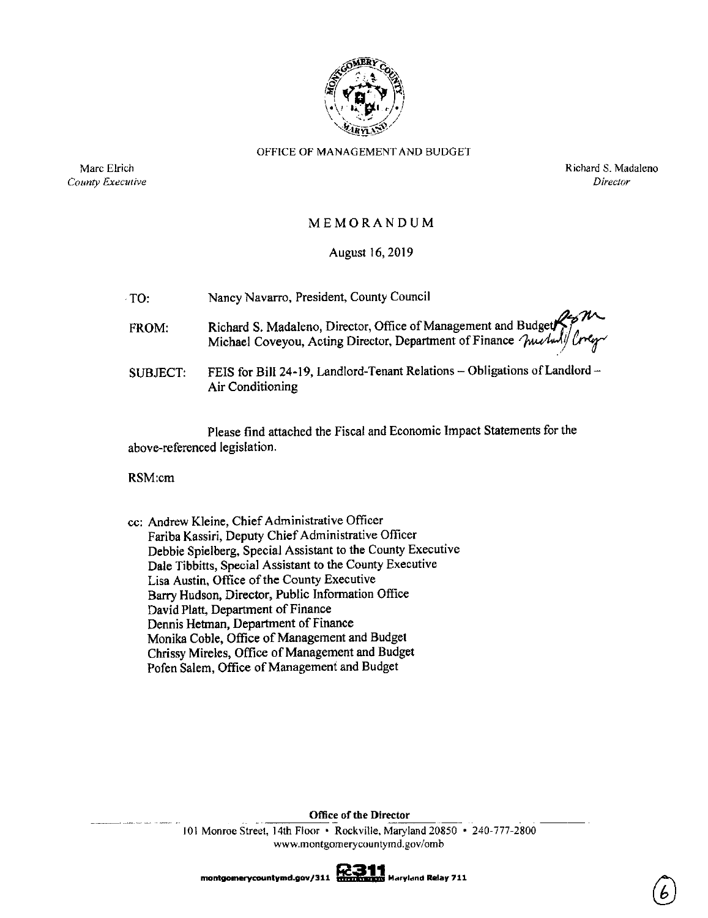

#### OFFICE Of MANAGEMENT AND BUDGET

Marc Elrich *County Executive*  Richard S. Madaleno *Director* 

#### MEMORANDUM

### August 16, 2019

| $\cdot$ TO: | Nancy Navarro, President, County Council                                                                                                 |
|-------------|------------------------------------------------------------------------------------------------------------------------------------------|
| FROM:       | Richard S. Madaleno, Director, Office of Management and Budget and Michael Coveyou, Acting Director, Department of Finance Muchulf Creep |
| SUBJECT:    | FEIS for Bill 24-19, Landlord-Tenant Relations - Obligations of Landlord -<br>Air Conditioning                                           |

Please find attached the Fiscal and Economic Impact Statements for the above-referenced legislation.

RSM:cm

cc: Andrew Kleine, Chief Administrative Officer Fariba Kassiri, Deputy Chief Administrative Officer Debbie Spielberg, Special Assistant to the County Executive Dale Tibbitts, Special Assistant to the County Executive Lisa Austin, Office of the County Executive Barry Hudson, Director, Public Information Office David Platt, Department of Finance Dennis Hetman, Department of Finance Monika Coble, Office of Management and Budget Chrissy Mireles, Office of Management and Budget Pofen Salem, Office of Management and Budget

> Office of the Director<br>101 Monroe Street, 14th Floor • Rockville, Maryland 20850 • 240-777-2800 **www.montgomerycountymd.gov/omb**

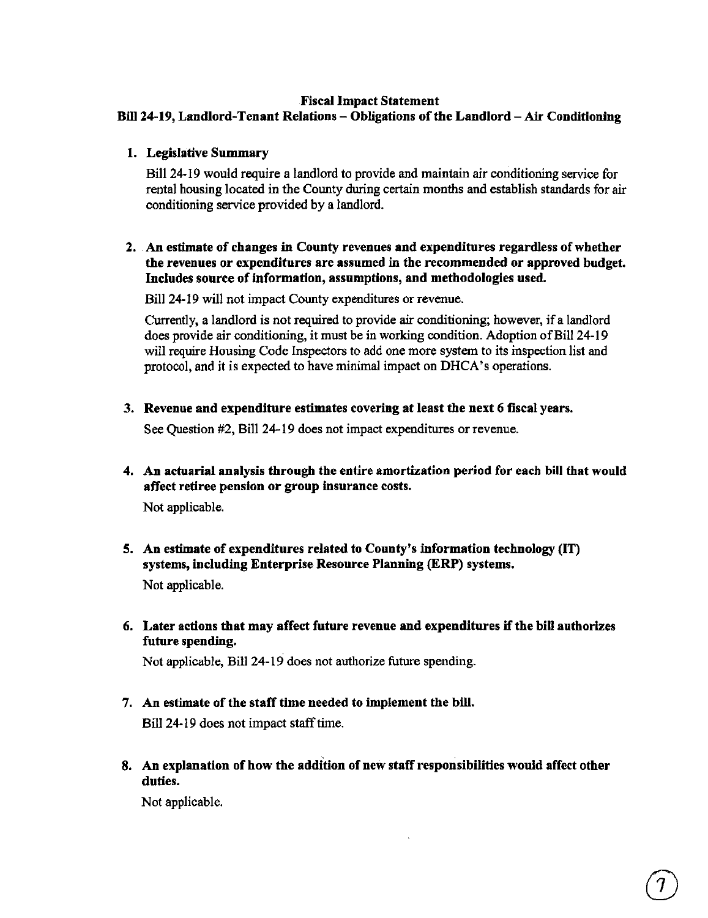#### **Fiscal Impact Statement**

## **Bill 24-19, Landlord-Tenant Relations-Obligations of the Landlord-Air Conditioning**

**1. Legislative Summary** 

Bill 24-19 would require a landlord to provide and maintain air conditioning service for rental housing located in the County during certain months and establish standards for air conditioning service provided by a landlord.

## **2. An estimate of changes** in **County revenues and expenditures regardless of whether the revenues or expenditures are assumed** in **the recommended or approved budget. Includes source of information, assumptions, and methodologies used.**

Bill 24-19 will not impact County expenditures or revenue.

Currently, a landlord is not required to provide air conditioning; however, if a landlord does provide air conditioning, it must be in working condition. Adoption of Bill 24-19 will require Housing Code Inspectors to add one more system to its inspection list and protocol, and it is expected to have minimal impact on DHCA's operations.

**3. Revenue and expenditure estimates covering at least the next 6 fiscal years.** 

See Question #2, Bill 24-19 does not impact expenditures or revenue.

4. An actuarial analysis through the entire amortization period for each bill that would affect retiree pension or group insurance costs.

Not applicable.

- 5. An estimate of expenditures related to County's information technology (IT) **systems, including Enterprise Resource Planning (ERP) systems.**  Not applicable.
- **6. Later actions that may affect future revenue and expenditures if the bill authorizes future spending.**

Not applicable, Bill 24-19 does not authorize future spending.

- **7. An estimate of the staff time needed to implement the bill.**  Bill 24-19 does not impact staff time.
- **8. An explanation of how the addition of new staff responsibilities would affect other duties.**

Not applicable.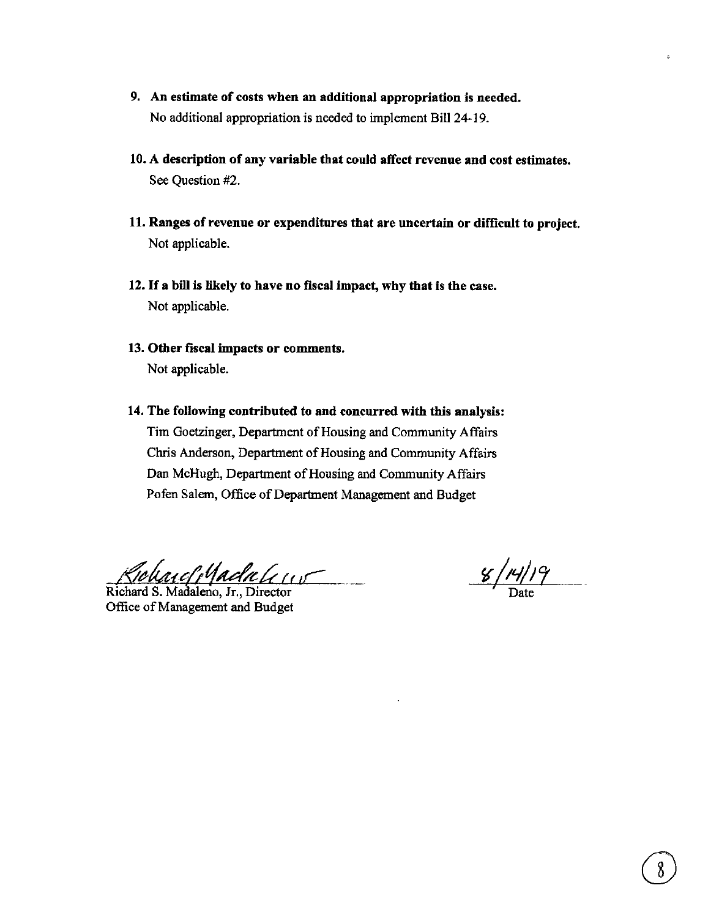- **9. An estimate of costs when an additional appropriation is needed.**  No additional appropriation is needed to implement Bill 24-19.
- **10. A description of any variable that could affect revenue and cost estimates.**  See Question #2.
- **11. Ranges of revenue or expenditures that are uncertain or difficult to project.**  Not applicable.
- 12. If **a bill is likely to have no fiscal impact, why that is the case.**  Not applicable.
- **13. Other fiscal impacts or comments.**  Not applicable.
- **14. The following contributed to and concurred with this analysis:**  Tim Goetzinger, Department of Housing and Community Affairs Chris Anderson, Department of Housing and Community Affairs Dan McHugh, Department of Housing and Community Affairs Pofen Salem, Office of Department Management and Budget

*/f#fkt1cl/tf dc,,? le ,C* 

Richard S. Madaleno, Jr., Director Office of Management and Budget

 $\frac{8}{4}$ 

 $\ddot{\phantom{a}}$